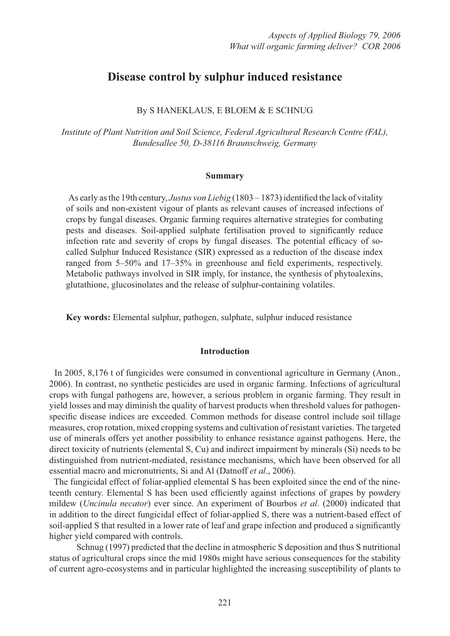# **Disease control by sulphur induced resistance**

## By S HANEKLAUS, E BLOEM & E SCHNUG

*Institute of Plant Nutrition and Soil Science, Federal Agricultural Research Centre (FAL), Bundesallee 50, D-38116 Braunschweig, Germany*

#### **Summary**

As early as the 19th century, *Justus von Liebig* (1803 – 1873) identified the lack of vitality of soils and non-existent vigour of plants as relevant causes of increased infections of crops by fungal diseases. Organic farming requires alternative strategies for combating pests and diseases. Soil-applied sulphate fertilisation proved to significantly reduce infection rate and severity of crops by fungal diseases. The potential efficacy of socalled Sulphur Induced Resistance (SIR) expressed as a reduction of the disease index ranged from  $5-50\%$  and  $17-35\%$  in greenhouse and field experiments, respectively. Metabolic pathways involved in SIR imply, for instance, the synthesis of phytoalexins, glutathione, glucosinolates and the release of sulphur-containing volatiles.

**Key words:** Elemental sulphur, pathogen, sulphate, sulphur induced resistance

### **Introduction**

 In 2005, 8,176 t of fungicides were consumed in conventional agriculture in Germany (Anon., 2006). In contrast, no synthetic pesticides are used in organic farming. Infections of agricultural crops with fungal pathogens are, however, a serious problem in organic farming. They result in yield losses and may diminish the quality of harvest products when threshold values for pathogenspecific disease indices are exceeded. Common methods for disease control include soil tillage measures, crop rotation, mixed cropping systems and cultivation of resistant varieties. The targeted use of minerals offers yet another possibility to enhance resistance against pathogens. Here, the direct toxicity of nutrients (elemental S, Cu) and indirect impairment by minerals (Si) needs to be distinguished from nutrient-mediated, resistance mechanisms, which have been observed for all essential macro and micronutrients, Si and Al (Datnoff *et al*., 2006).

 The fungicidal effect of foliar-applied elemental S has been exploited since the end of the nineteenth century. Elemental S has been used efficiently against infections of grapes by powdery mildew (*Uncinula necator*) ever since. An experiment of Bourbos *et al*. (2000) indicated that in addition to the direct fungicidal effect of foliar-applied S, there was a nutrient-based effect of soil-applied S that resulted in a lower rate of leaf and grape infection and produced a significantly higher yield compared with controls.

 Schnug (1997) predicted that the decline in atmospheric S deposition and thus S nutritional status of agricultural crops since the mid 1980s might have serious consequences for the stability of current agro-ecosystems and in particular highlighted the increasing susceptibility of plants to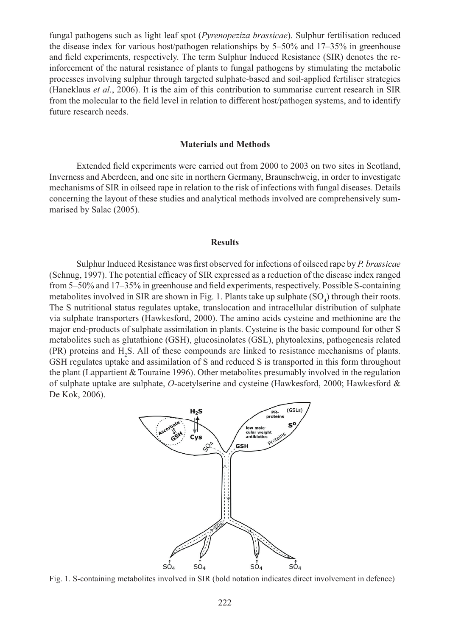fungal pathogens such as light leaf spot (*Pyrenopeziza brassicae*). Sulphur fertilisation reduced the disease index for various host/pathogen relationships by 5–50% and 17–35% in greenhouse and field experiments, respectively. The term Sulphur Induced Resistance (SIR) denotes the reinforcement of the natural resistance of plants to fungal pathogens by stimulating the metabolic processes involving sulphur through targeted sulphate-based and soil-applied fertiliser strategies (Haneklaus *et al*., 2006). It is the aim of this contribution to summarise current research in SIR from the molecular to the field level in relation to different host/pathogen systems, and to identify future research needs.

#### **Materials and Methods**

Extended field experiments were carried out from 2000 to 2003 on two sites in Scotland, Inverness and Aberdeen, and one site in northern Germany, Braunschweig, in order to investigate mechanisms of SIR in oilseed rape in relation to the risk of infections with fungal diseases. Details concerning the layout of these studies and analytical methods involved are comprehensively summarised by Salac (2005).

#### **Results**

Sulphur Induced Resistance was first observed for infections of oilseed rape by *P. brassicae* (Schnug, 1997). The potential efficacy of SIR expressed as a reduction of the disease index ranged from 5–50% and 17–35% in greenhouse and field experiments, respectively. Possible S-containing metabolites involved in SIR are shown in Fig. 1. Plants take up sulphate  $(SO_4)$  through their roots. The S nutritional status regulates uptake, translocation and intracellular distribution of sulphate via sulphate transporters (Hawkesford, 2000). The amino acids cysteine and methionine are the major end-products of sulphate assimilation in plants. Cysteine is the basic compound for other S metabolites such as glutathione (GSH), glucosinolates (GSL), phytoalexins, pathogenesis related  $(PR)$  proteins and  $H_2S$ . All of these compounds are linked to resistance mechanisms of plants. GSH regulates uptake and assimilation of S and reduced S is transported in this form throughout the plant (Lappartient & Touraine 1996). Other metabolites presumably involved in the regulation of sulphate uptake are sulphate, *O*-acetylserine and cysteine (Hawkesford, 2000; Hawkesford & De Kok, 2006).



Fig. 1. S-containing metabolites involved in SIR (bold notation indicates direct involvement in defence)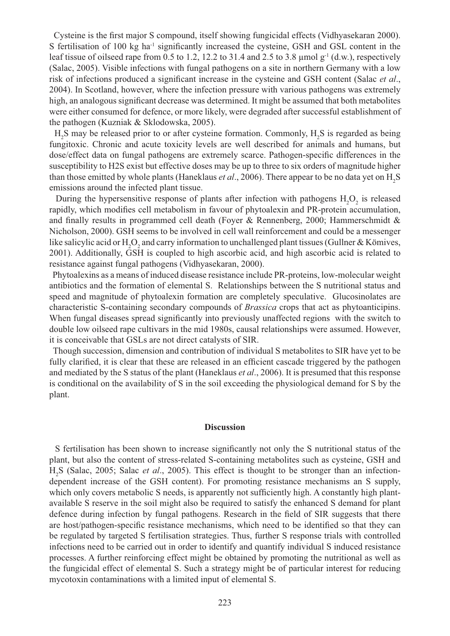Cysteine is the first major S compound, itself showing fungicidal effects (Vidhyasekaran 2000). S fertilisation of 100 kg ha<sup>-1</sup> significantly increased the cysteine, GSH and GSL content in the leaf tissue of oilseed rape from 0.5 to 1.2, 12.2 to 31.4 and 2.5 to 3.8  $\mu$ mol g<sup>-1</sup> (d.w.), respectively (Salac, 2005). Visible infections with fungal pathogens on a site in northern Germany with a low risk of infections produced a significant increase in the cysteine and GSH content (Salac *et al.*, 2004). In Scotland, however, where the infection pressure with various pathogens was extremely high, an analogous significant decrease was determined. It might be assumed that both metabolites were either consumed for defence, or more likely, were degraded after successful establishment of the pathogen (Kuzniak & Sklodowska, 2005).

 $H_2$ S may be released prior to or after cysteine formation. Commonly,  $H_2$ S is regarded as being fungitoxic. Chronic and acute toxicity levels are well described for animals and humans, but dose/effect data on fungal pathogens are extremely scarce. Pathogen-specific differences in the susceptibility to H2S exist but effective doses may be up to three to six orders of magnitude higher than those emitted by whole plants (Haneklaus *et al.*, 2006). There appear to be no data yet on H<sub>2</sub>S emissions around the infected plant tissue.

During the hypersensitive response of plants after infection with pathogens  $H_2O_2$  is released rapidly, which modifies cell metabolism in favour of phytoalexin and PR-protein accumulation, and finally results in programmed cell death (Foyer & Rennenberg, 2000; Hammerschmidt  $\&$ Nicholson, 2000). GSH seems to be involved in cell wall reinforcement and could be a messenger like salicylic acid or  $H_2O_2$  and carry information to unchallenged plant tissues (Gullner & Kömives, 2001). Additionally, GSH is coupled to high ascorbic acid, and high ascorbic acid is related to resistance against fungal pathogens (Vidhyasekaran, 2000).

 Phytoalexins as a means of induced disease resistance include PR-proteins, low-molecular weight antibiotics and the formation of elemental S. Relationships between the S nutritional status and speed and magnitude of phytoalexin formation are completely speculative. Glucosinolates are characteristic S-containing secondary compounds of *Brassica* crops that act as phytoanticipins. When fungal diseases spread significantly into previously unaffected regions with the switch to double low oilseed rape cultivars in the mid 1980s, causal relationships were assumed. However, it is conceivable that GSLs are not direct catalysts of SIR.

 Though succession, dimension and contribution of individual S metabolites to SIR have yet to be fully clarified, it is clear that these are released in an efficient cascade triggered by the pathogen and mediated by the S status of the plant (Haneklaus *et al*., 2006). It is presumed that this response is conditional on the availability of S in the soil exceeding the physiological demand for S by the plant.

#### **Discussion**

S fertilisation has been shown to increase significantly not only the S nutritional status of the plant, but also the content of stress-related S-containing metabolites such as cysteine, GSH and H2 S (Salac, 2005; Salac *et al*., 2005). This effect is thought to be stronger than an infectiondependent increase of the GSH content). For promoting resistance mechanisms an S supply, which only covers metabolic S needs, is apparently not sufficiently high. A constantly high plantavailable S reserve in the soil might also be required to satisfy the enhanced S demand for plant defence during infection by fungal pathogens. Research in the field of SIR suggests that there are host/pathogen-specific resistance mechanisms, which need to be identified so that they can be regulated by targeted S fertilisation strategies. Thus, further S response trials with controlled infections need to be carried out in order to identify and quantify individual S induced resistance processes. A further reinforcing effect might be obtained by promoting the nutritional as well as the fungicidal effect of elemental S. Such a strategy might be of particular interest for reducing mycotoxin contaminations with a limited input of elemental S.